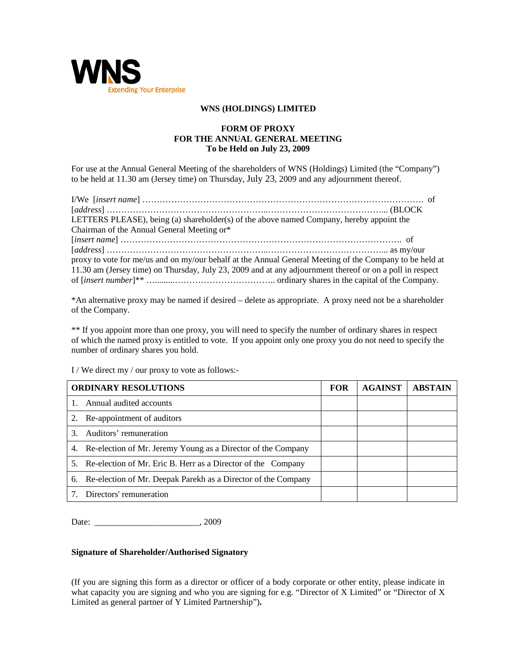

## **WNS (HOLDINGS) LIMITED**

## **FORM OF PROXY FOR THE ANNUAL GENERAL MEETING To be Held on July 23, 2009**

For use at the Annual General Meeting of the shareholders of WNS (Holdings) Limited (the "Company") to be held at 11.30 am (Jersey time) on Thursday, July 23, 2009 and any adjournment thereof.

| LETTERS PLEASE), being (a) shareholder(s) of the above named Company, hereby appoint the                 |  |
|----------------------------------------------------------------------------------------------------------|--|
| Chairman of the Annual General Meeting or*                                                               |  |
|                                                                                                          |  |
|                                                                                                          |  |
| proxy to vote for me/us and on my/our behalf at the Annual General Meeting of the Company to be held at  |  |
| 11.30 am (Jersey time) on Thursday, July 23, 2009 and at any adjournment thereof or on a poll in respect |  |
|                                                                                                          |  |

\*An alternative proxy may be named if desired – delete as appropriate. A proxy need not be a shareholder of the Company.

\*\* If you appoint more than one proxy, you will need to specify the number of ordinary shares in respect of which the named proxy is entitled to vote. If you appoint only one proxy you do not need to specify the number of ordinary shares you hold.

I / We direct my / our proxy to vote as follows:-

| <b>ORDINARY RESOLUTIONS</b> |                                                                  | <b>FOR</b> | <b>AGAINST</b> | <b>ABSTAIN</b> |
|-----------------------------|------------------------------------------------------------------|------------|----------------|----------------|
|                             | Annual audited accounts                                          |            |                |                |
| 2.                          | Re-appointment of auditors                                       |            |                |                |
| 3                           | Auditors' remuneration                                           |            |                |                |
|                             | 4. Re-election of Mr. Jeremy Young as a Director of the Company  |            |                |                |
| 5.                          | Re-election of Mr. Eric B. Herr as a Director of the Company     |            |                |                |
|                             | 6. Re-election of Mr. Deepak Parekh as a Director of the Company |            |                |                |
|                             | Directors' remuneration                                          |            |                |                |

Date:  $0.2009$ 

## **Signature of Shareholder/Authorised Signatory**

(If you are signing this form as a director or officer of a body corporate or other entity, please indicate in what capacity you are signing and who you are signing for e.g. "Director of X Limited" or "Director of X Limited as general partner of Y Limited Partnership")**.**